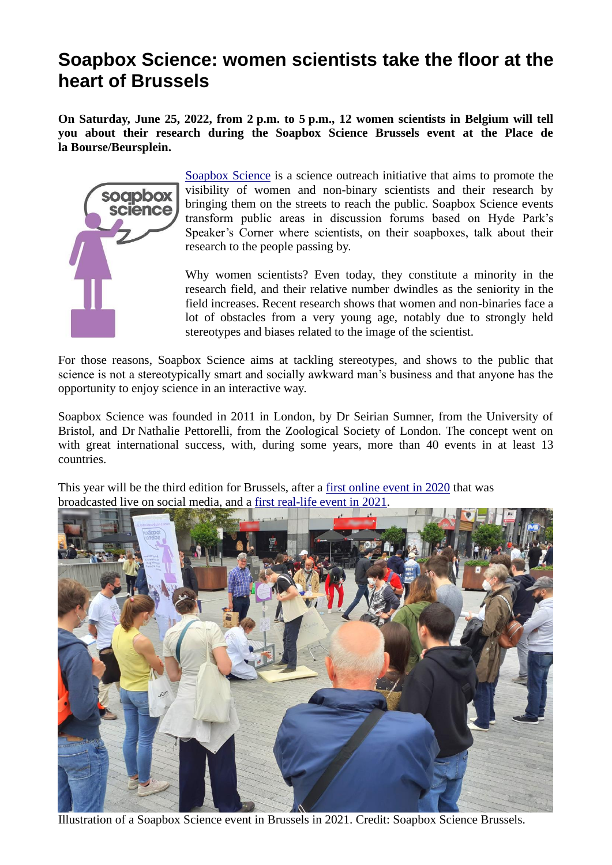## **Soapbox Science: women scientists take the floor at the heart of Brussels**

**On Saturday, June 25, 2022, from 2 p.m. to 5 p.m., 12 women scientists in Belgium will tell you about their research during the Soapbox Science Brussels event at the Place de la Bourse/Beursplein.** 



[Soapbox Science](http://soapboxscience.org/) is a science outreach initiative that aims to promote the visibility of women and non-binary scientists and their research by bringing them on the streets to reach the public. Soapbox Science events transform public areas in discussion forums based on Hyde Park's Speaker's Corner where scientists, on their soapboxes, talk about their research to the people passing by.

Why women scientists? Even today, they constitute a minority in the research field, and their relative number dwindles as the seniority in the field increases. Recent research shows that women and non-binaries face a lot of obstacles from a very young age, notably due to strongly held stereotypes and biases related to the image of the scientist.

For those reasons, Soapbox Science aims at tackling stereotypes, and shows to the public that science is not a stereotypically smart and socially awkward man's business and that anyone has the opportunity to enjoy science in an interactive way.

Soapbox Science was founded in 2011 in London, by Dr Seirian Sumner, from the University of Bristol, and Dr Nathalie Pettorelli, from the Zoological Society of London. The concept went on with great international success, with, during some years, more than 40 events in at least 13 countries.

This year will be the third edition for Brussels, after a [first online event in 2020](https://www.youtube.com/watch?v=DMMdOSjIx-A&t=4627s) that was broadcasted live on social media, and a [first real-life event in 2021.](https://www.youtube.com/watch?v=FrBfLMp3GWY&t=1s)



Illustration of a Soapbox Science event in Brussels in 2021. Credit: Soapbox Science Brussels.